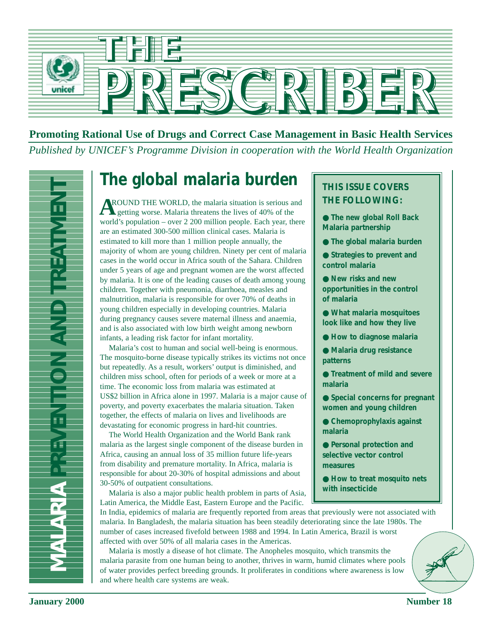

# **Promoting Rational Use of Drugs and Correct Case Management in Basic Health Services** *Published by UNICEF's Programme Division in cooperation with the World Health Organization*



# **The global malaria burden**

**January 200 Jumma Propose the Conference of the Conference of the Conference of the Conference of the Conference of the Conference of the Conference of the Conference of the Conference of the Conference of the Conference** ROUND THE WORLD, the malaria situation is serious and **A** ROUND THE WORLD, the malaria situation is serious a getting worse. Malaria threatens the lives of 40% of the world's population – over 2 200 million people. Each year, there are an estimated 300-500 million clinical cases. Malaria is estimated to kill more than 1 million people annually, the majority of whom are young children. Ninety per cent of malaria cases in the world occur in Africa south of the Sahara. Children under 5 years of age and pregnant women are the worst affected by malaria. It is one of the leading causes of death among young children. Together with pneumonia, diarrhoea, measles and malnutrition, malaria is responsible for over 70% of deaths in young children especially in developing countries. Malaria during pregnancy causes severe maternal illness and anaemia, and is also associated with low birth weight among newborn infants, a leading risk factor for infant mortality.

Malaria's cost to human and social well-being is enormous. The mosquito-borne disease typically strikes its victims not once but repeatedly. As a result, workers' output is diminished, and children miss school, often for periods of a week or more at a time. The economic loss from malaria was estimated at US\$2 billion in Africa alone in 1997. Malaria is a major cause of poverty, and poverty exacerbates the malaria situation. Taken together, the effects of malaria on lives and livelihoods are devastating for economic progress in hard-hit countries.

The World Health Organization and the World Bank rank malaria as the largest single component of the disease burden in Africa, causing an annual loss of 35 million future life-years from disability and premature mortality. In Africa, malaria is responsible for about 20-30% of hospital admissions and about 30-50% of outpatient consultations.

Malaria is also a major public health problem in parts of Asia, Latin America, the Middle East, Eastern Europe and the Pacific.

# **THIS ISSUE COVERS THE FOLLOWING:**

- **The new global Roll Back Malaria partnership**
- **The global malaria burden**
- **Strategies to prevent and control malaria**
- **New risks and new opportunities in the control of malaria**
- **What malaria mosquitoes look like and how they live**
- **How to diagnose malaria**
- **Malaria drug resistance patterns**
- **Treatment of mild and severe malaria**
- **Special concerns for pregnant women and young children**
- **Chemoprophylaxis against malaria**
- **Personal protection and selective vector control measures**
- **How to treat mosquito nets with insecticide**

In India, epidemics of malaria are frequently reported from areas that previously were not associated with malaria. In Bangladesh, the malaria situation has been steadily deteriorating since the late 1980s. The number of cases increased fivefold between 1988 and 1994. In Latin America, Brazil is worst affected with over 50% of all malaria cases in the Americas.

Malaria is mostly a disease of hot climate. The Anopheles mosquito, which transmits the malaria parasite from one human being to another, thrives in warm, humid climates where pools of water provides perfect breeding grounds. It proliferates in conditions where awareness is low and where health care systems are weak.

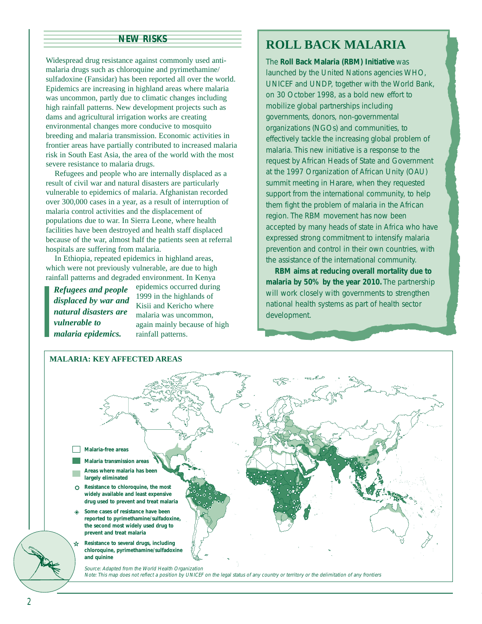#### **NEW RISKS**

Widespread drug resistance against commonly used antimalaria drugs such as chloroquine and pyrimethamine/ sulfadoxine (Fansidar) has been reported all over the world. Epidemics are increasing in highland areas where malaria was uncommon, partly due to climatic changes including high rainfall patterns. New development projects such as dams and agricultural irrigation works are creating environmental changes more conducive to mosquito breeding and malaria transmission. Economic activities in frontier areas have partially contributed to increased malaria risk in South East Asia, the area of the world with the most severe resistance to malaria drugs.

Refugees and people who are internally displaced as a result of civil war and natural disasters are particularly vulnerable to epidemics of malaria. Afghanistan recorded over 300,000 cases in a year, as a result of interruption of malaria control activities and the displacement of populations due to war. In Sierra Leone, where health facilities have been destroyed and health staff displaced because of the war, almost half the patients seen at referral hospitals are suffering from malaria.

In Ethiopia, repeated epidemics in highland areas, which were not previously vulnerable, are due to high rainfall patterns and degraded environment. In Kenya

*Refugees and people displaced by war and natural disasters are vulnerable to malaria epidemics.*

epidemics occurred during 1999 in the highlands of Kisii and Kericho where malaria was uncommon, again mainly because of high rainfall patterns.

# **ROLL BACK MALARIA**

The **Roll Back Malaria (RBM) Initiative** was launched by the United Nations agencies WHO, UNICEF and UNDP, together with the World Bank, on 30 October 1998, as a bold new effort to mobilize global partnerships including governments, donors, non-governmental organizations (NGOs) and communities, to effectively tackle the increasing global problem of malaria. This new initiative is a response to the request by African Heads of State and Government at the 1997 Organization of African Unity (OAU) summit meeting in Harare, when they requested support from the international community, to help them fight the problem of malaria in the African region. The RBM movement has now been accepted by many heads of state in Africa who have expressed strong commitment to intensify malaria prevention and control in their own countries, with the assistance of the international community.

**RBM aims at reducing overall mortality due to malaria by 50% by the year 2010.** The partnership will work closely with governments to strengthen national health systems as part of health sector development.

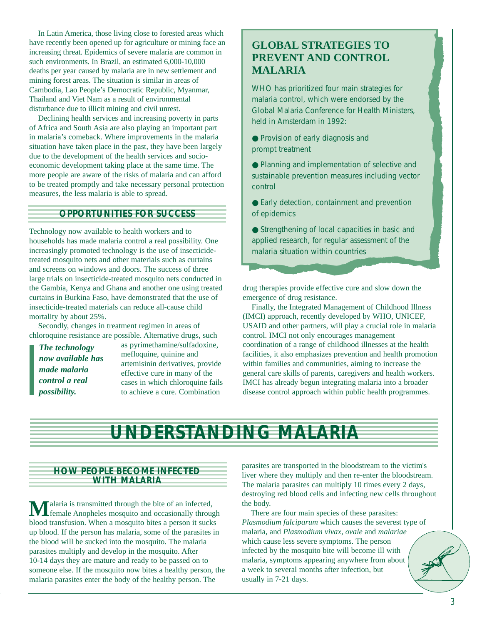In Latin America, those living close to forested areas which have recently been opened up for agriculture or mining face an increasing threat. Epidemics of severe malaria are common in such environments. In Brazil, an estimated 6,000-10,000 deaths per year caused by malaria are in new settlement and mining forest areas. The situation is similar in areas of Cambodia, Lao People's Democratic Republic, Myanmar, Thailand and Viet Nam as a result of environmental disturbance due to illicit mining and civil unrest.

Declining health services and increasing poverty in parts of Africa and South Asia are also playing an important part in malaria's comeback. Where improvements in the malaria situation have taken place in the past, they have been largely due to the development of the health services and socioeconomic development taking place at the same time. The more people are aware of the risks of malaria and can afford to be treated promptly and take necessary personal protection measures, the less malaria is able to spread.

#### **OPPORTUNITIES FOR SUCCESS**

Technology now available to health workers and to households has made malaria control a real possibility. One increasingly promoted technology is the use of insecticidetreated mosquito nets and other materials such as curtains and screens on windows and doors. The success of three large trials on insecticide-treated mosquito nets conducted in the Gambia, Kenya and Ghana and another one using treated curtains in Burkina Faso, have demonstrated that the use of insecticide-treated materials can reduce all-cause child mortality by about 25%.

Secondly, changes in treatment regimen in areas of chloroquine resistance are possible. Alternative drugs, such

*The technology now available has made malaria control a real possibility.*

as pyrimethamine/sulfadoxine, mefloquine, quinine and artemisinin derivatives, provide effective cure in many of the cases in which chloroquine fails to achieve a cure. Combination

# **GLOBAL STRATEGIES TO PREVENT AND CONTROL MALARIA**

WHO has prioritized four main strategies for malaria control, which were endorsed by the Global Malaria Conference for Health Ministers, held in Amsterdam in 1992:

● Provision of early diagnosis and prompt treatment

● Planning and implementation of selective and sustainable prevention measures including vector control

● Early detection, containment and prevention of epidemics

● Strengthening of local capacities in basic and applied research, for regular assessment of the malaria situation within countries

drug therapies provide effective cure and slow down the emergence of drug resistance.

Finally, the Integrated Management of Childhood Illness (IMCI) approach, recently developed by WHO, UNICEF, USAID and other partners, will play a crucial role in malaria control. IMCI not only encourages management coordination of a range of childhood illnesses at the health facilities, it also emphasizes prevention and health promotion within families and communities, aiming to increase the general care skills of parents, caregivers and health workers. IMCI has already begun integrating malaria into a broader disease control approach within public health programmes.

# **UNDERSTANDING MALARIA**

#### **HOW PEOPLE BECOME INFECTED WITH MALARIA**

**M**alaria is transmitted through the bite of an infected,<br>female Anopheles mosquito and occasionally through blood transfusion. When a mosquito bites a person it sucks up blood. If the person has malaria, some of the parasites in the blood will be sucked into the mosquito. The malaria parasites multiply and develop in the mosquito. After 10-14 days they are mature and ready to be passed on to someone else. If the mosquito now bites a healthy person, the malaria parasites enter the body of the healthy person. The

parasites are transported in the bloodstream to the victim's liver where they multiply and then re-enter the bloodstream. The malaria parasites can multiply 10 times every 2 days, destroying red blood cells and infecting new cells throughout the body.

There are four main species of these parasites: *Plasmodium falciparum* which causes the severest type of malaria, and *Plasmodium vivax*, *ovale* and *malariae* which cause less severe symptoms. The person infected by the mosquito bite will become ill with malaria, symptoms appearing anywhere from about a week to several months after infection, but usually in 7-21 days.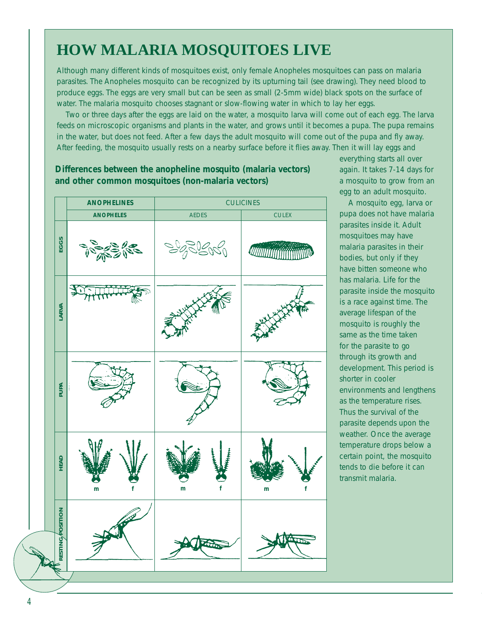# **HOW MALARIA MOSQUITOES LIVE**

Although many different kinds of mosquitoes exist, only female Anopheles mosquitoes can pass on malaria parasites. The Anopheles mosquito can be recognized by its upturning tail (see drawing). They need blood to produce eggs. The eggs are very small but can be seen as small (2-5mm wide) black spots on the surface of water. The malaria mosquito chooses stagnant or slow-flowing water in which to lay her eggs.

Two or three days after the eggs are laid on the water, a mosquito larva will come out of each egg. The larva feeds on microscopic organisms and plants in the water, and grows until it becomes a pupa. The pupa remains in the water, but does not feed. After a few days the adult mosquito will come out of the pupa and fly away. After feeding, the mosquito usually rests on a nearby surface before it flies away. Then it will lay eggs and

# **ANOPHELINES** CULICINES **ANOPHELES** AEDES CULEX **EGGS RESTING AND LARGE BEAD LARGE HEAD LARGE LARGE LARGE LARGE LARGE LARGE LARGE LARGE LARGE LARGE LARGE LARGE LARGE LARGE LARGE LARGE LARGE LARGE LARGE LARGE LARGE LARGE LARGE LARGE LARGE LARGE LARGE LARGE LARGE LARGE LARGE L** *MMMMMMM* LARVA **PUPA** HEAD **m f m f m f**RESTING *POSITION*

### **Differences between the anopheline mosquito (malaria vectors) and other common mosquitoes (non-malaria vectors)**

everything starts all over again. It takes 7-14 days for a mosquito to grow from an egg to an adult mosquito.

A mosquito egg, larva or pupa does not have malaria parasites inside it. Adult mosquitoes may have malaria parasites in their bodies, but only if they have bitten someone who has malaria. Life for the parasite inside the mosquito is a race against time. The average lifespan of the mosquito is roughly the same as the time taken for the parasite to go through its growth and development. This period is shorter in cooler environments and lengthens as the temperature rises. Thus the survival of the parasite depends upon the weather. Once the average temperature drops below a certain point, the mosquito tends to die before it can transmit malaria.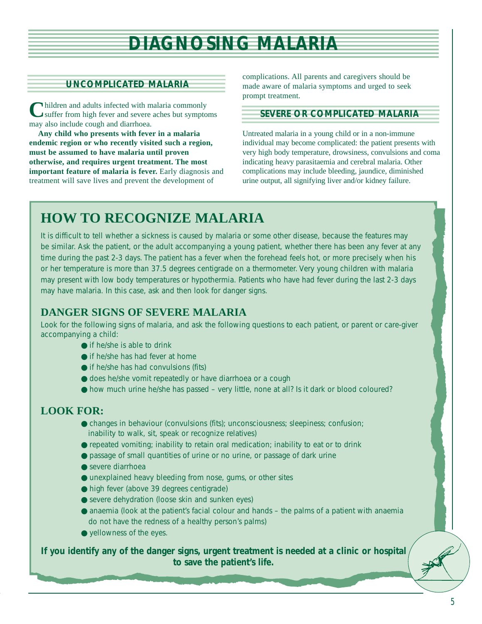# **DIAGNOSING MALARIA**

#### **UNCOMPLICATED MALARIA**

**C**hildren and adults infected with malaria commonly suffer from high fever and severe aches but symptoms may also include cough and diarrhoea.

**Any child who presents with fever in a malaria endemic region or who recently visited such a region, must be assumed to have malaria until proven otherwise, and requires urgent treatment. The most important feature of malaria is fever.** Early diagnosis and treatment will save lives and prevent the development of

complications. All parents and caregivers should be made aware of malaria symptoms and urged to seek prompt treatment.

#### **SEVERE OR COMPLICATED MALARIA**

Untreated malaria in a young child or in a non-immune individual may become complicated: the patient presents with very high body temperature, drowsiness, convulsions and coma indicating heavy parasitaemia and cerebral malaria. Other complications may include bleeding, jaundice, diminished urine output, all signifying liver and/or kidney failure.

# **HOW TO RECOGNIZE MALARIA**

It is difficult to tell whether a sickness is caused by malaria or some other disease, because the features may be similar. Ask the patient, or the adult accompanying a young patient, whether there has been any fever at any time during the past 2-3 days. The patient has a fever when the forehead feels hot, or more precisely when his or her temperature is more than 37.5 degrees centigrade on a thermometer. Very young children with malaria may present with low body temperatures or hypothermia. Patients who have had fever during the last 2-3 days may have malaria. In this case, ask and then look for danger signs.

# **DANGER SIGNS OF SEVERE MALARIA**

Look for the following signs of malaria, and ask the following questions to each patient, or parent or care-giver accompanying a child:

- $\bullet$  if he/she is able to drink
- if he/she has had fever at home
- if he/she has had convulsions (fits)
- does he/she vomit repeatedly or have diarrhoea or a cough
- how much urine he/she has passed very little, none at all? Is it dark or blood coloured?

# **LOOK FOR:**

- changes in behaviour (convulsions (fits); unconsciousness; sleepiness; confusion; inability to walk, sit, speak or recognize relatives)
- repeated vomiting; inability to retain oral medication; inability to eat or to drink
- passage of small quantities of urine or no urine, or passage of dark urine
- severe diarrhoea
- unexplained heavy bleeding from nose, gums, or other sites
- high fever (above 39 degrees centigrade)
- severe dehydration (loose skin and sunken eyes)
- anaemia (look at the patient's facial colour and hands the palms of a patient with anaemia do not have the redness of a healthy person's palms)
- yellowness of the eyes.

**If you identify any of the danger signs, urgent treatment is needed at a clinic or hospital to save the patient's life.**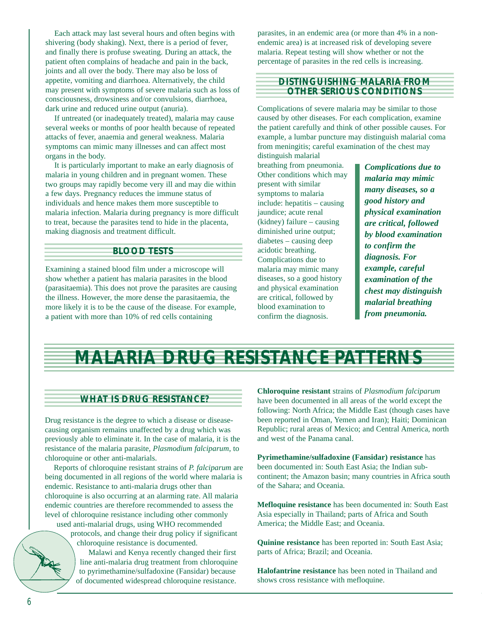Each attack may last several hours and often begins with shivering (body shaking). Next, there is a period of fever, and finally there is profuse sweating. During an attack, the patient often complains of headache and pain in the back, joints and all over the body. There may also be loss of appetite, vomiting and diarrhoea. Alternatively, the child may present with symptoms of severe malaria such as loss of consciousness, drowsiness and/or convulsions, diarrhoea, dark urine and reduced urine output (anuria).

If untreated (or inadequately treated), malaria may cause several weeks or months of poor health because of repeated attacks of fever, anaemia and general weakness. Malaria symptoms can mimic many illnesses and can affect most organs in the body.

It is particularly important to make an early diagnosis of malaria in young children and in pregnant women. These two groups may rapidly become very ill and may die within a few days. Pregnancy reduces the immune status of individuals and hence makes them more susceptible to malaria infection. Malaria during pregnancy is more difficult to treat, because the parasites tend to hide in the placenta, making diagnosis and treatment difficult.

#### **BLOOD TESTS**

Examining a stained blood film under a microscope will show whether a patient has malaria parasites in the blood (parasitaemia). This does not prove the parasites are causing the illness. However, the more dense the parasitaemia, the more likely it is to be the cause of the disease. For example, a patient with more than 10% of red cells containing

parasites, in an endemic area (or more than 4% in a nonendemic area) is at increased risk of developing severe malaria. Repeat testing will show whether or not the percentage of parasites in the red cells is increasing.

#### **DISTINGUISHING MALARIA FROM OTHER SERIOUS CONDITIONS**

Complications of severe malaria may be similar to those caused by other diseases. For each complication, examine the patient carefully and think of other possible causes. For example, a lumbar puncture may distinguish malarial coma from meningitis; careful examination of the chest may

distinguish malarial breathing from pneumonia. Other conditions which may present with similar symptoms to malaria include: hepatitis – causing jaundice; acute renal (kidney) failure – causing diminished urine output; diabetes – causing deep acidotic breathing. Complications due to malaria may mimic many diseases, so a good history and physical examination are critical, followed by blood examination to confirm the diagnosis.

*Complications due to malaria may mimic many diseases, so a good history and physical examination are critical, followed by blood examination to confirm the diagnosis. For example, careful examination of the chest may distinguish malarial breathing from pneumonia.*

# **MALARIA DRUG RESISTANCE PATTERNS**

#### **WHAT IS DRUG RESISTANCE?**

Drug resistance is the degree to which a disease or diseasecausing organism remains unaffected by a drug which was previously able to eliminate it. In the case of malaria, it is the resistance of the malaria parasite, *Plasmodium falciparum*, to chloroquine or other anti-malarials.

Reports of chloroquine resistant strains of *P. falciparum* are being documented in all regions of the world where malaria is endemic. Resistance to anti-malaria drugs other than chloroquine is also occurring at an alarming rate. All malaria endemic countries are therefore recommended to assess the level of chloroquine resistance including other commonly used anti-malarial drugs, using WHO recommended

protocols, and change their drug policy if significant chloroquine resistance is documented.

Malawi and Kenya recently changed their first line anti-malaria drug treatment from chloroquine to pyrimethamine/sulfadoxine (Fansidar) because of documented widespread chloroquine resistance.

**Chloroquine resistant** strains of *Plasmodium falciparum* have been documented in all areas of the world except the following: North Africa; the Middle East (though cases have been reported in Oman, Yemen and Iran); Haiti; Dominican Republic; rural areas of Mexico; and Central America, north and west of the Panama canal.

**Pyrimethamine/sulfadoxine (Fansidar) resistance** has been documented in: South East Asia; the Indian subcontinent; the Amazon basin; many countries in Africa south of the Sahara; and Oceania.

**Mefloquine resistance** has been documented in: South East Asia especially in Thailand; parts of Africa and South America; the Middle East; and Oceania.

**Quinine resistance** has been reported in: South East Asia; parts of Africa; Brazil; and Oceania.

**Halofantrine resistance** has been noted in Thailand and shows cross resistance with mefloquine.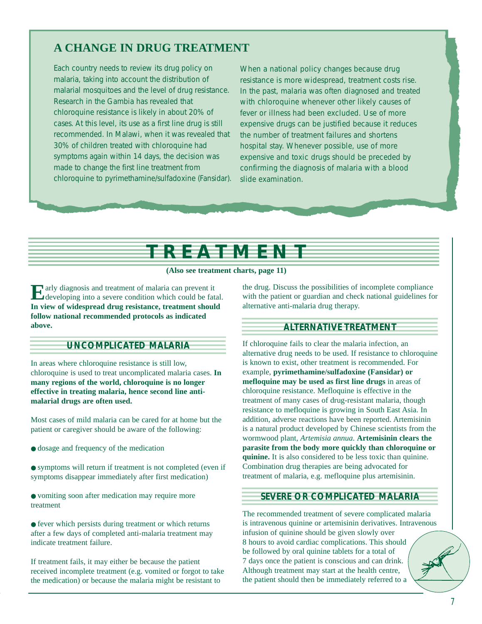# **A CHANGE IN DRUG TREATMENT**

Each country needs to review its drug policy on malaria, taking into account the distribution of malarial mosquitoes and the level of drug resistance. Research in the Gambia has revealed that chloroquine resistance is likely in about 20% of cases. At this level, its use as a first line drug is still recommended. In Malawi, when it was revealed that 30% of children treated with chloroquine had symptoms again within 14 days, the decision was made to change the first line treatment from chloroquine to pyrimethamine/sulfadoxine (Fansidar).

When a national policy changes because drug resistance is more widespread, treatment costs rise. In the past, malaria was often diagnosed and treated with chloroquine whenever other likely causes of fever or illness had been excluded. Use of more expensive drugs can be justified because it reduces the number of treatment failures and shortens hospital stay. Whenever possible, use of more expensive and toxic drugs should be preceded by confirming the diagnosis of malaria with a blood slide examination.

# **TREATMENT**

**(Also see treatment charts, page 11)**

**E**arly diagnosis and treatment of malaria can prevent it developing into a severe condition which could be fatal. **In view of widespread drug resistance, treatment should follow national recommended protocols as indicated above.**

### **UNCOMPLICATED MALARIA**

In areas where chloroquine resistance is still low, chloroquine is used to treat uncomplicated malaria cases. **In many regions of the world, chloroquine is no longer effective in treating malaria, hence second line antimalarial drugs are often used.**

Most cases of mild malaria can be cared for at home but the patient or caregiver should be aware of the following:

- dosage and frequency of the medication
- symptoms will return if treatment is not completed (even if symptoms disappear immediately after first medication)
- vomiting soon after medication may require more treatment

● fever which persists during treatment or which returns after a few days of completed anti-malaria treatment may indicate treatment failure.

If treatment fails, it may either be because the patient received incomplete treatment (e.g. vomited or forgot to take the medication) or because the malaria might be resistant to

the drug. Discuss the possibilities of incomplete compliance with the patient or guardian and check national guidelines for alternative anti-malaria drug therapy.

### **ALTERNATIVE TREATMENT**

If chloroquine fails to clear the malaria infection, an alternative drug needs to be used. If resistance to chloroquine is known to exist, other treatment is recommended. For example, **pyrimethamine/sulfadoxine (Fansidar) or mefloquine may be used as first line drugs** in areas of chloroquine resistance. Mefloquine is effective in the treatment of many cases of drug-resistant malaria, though resistance to mefloquine is growing in South East Asia. In addition, adverse reactions have been reported. Artemisinin is a natural product developed by Chinese scientists from the wormwood plant, *Artemisia annua*. **Artemisinin clears the parasite from the body more quickly than chloroquine or quinine.** It is also considered to be less toxic than quinine. Combination drug therapies are being advocated for treatment of malaria, e.g. mefloquine plus artemisinin.

#### **SEVERE OR COMPLICATED MALARIA**

The recommended treatment of severe complicated malaria is intravenous quinine or artemisinin derivatives. Intravenous infusion of quinine should be given slowly over 8 hours to avoid cardiac complications. This should be followed by oral quinine tablets for a total of 7 days once the patient is conscious and can drink. Although treatment may start at the health centre, the patient should then be immediately referred to a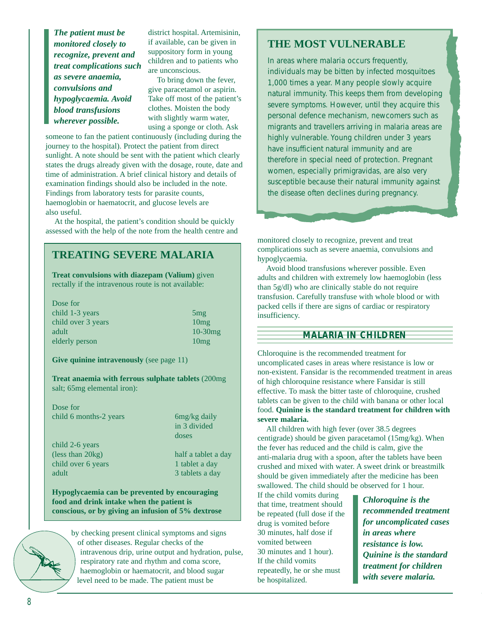*The patient must be monitored closely to recognize, prevent and treat complications such as severe anaemia, convulsions and hypoglycaemia. Avoid blood transfusions wherever possible.*

district hospital. Artemisinin, if available, can be given in suppository form in young children and to patients who are unconscious.

To bring down the fever, give paracetamol or aspirin. Take off most of the patient's clothes. Moisten the body with slightly warm water, using a sponge or cloth. Ask

someone to fan the patient continuously (including during the journey to the hospital). Protect the patient from direct sunlight. A note should be sent with the patient which clearly states the drugs already given with the dosage, route, date and time of administration. A brief clinical history and details of examination findings should also be included in the note. Findings from laboratory tests for parasite counts, haemoglobin or haematocrit, and glucose levels are also useful.

At the hospital, the patient's condition should be quickly assessed with the help of the note from the health centre and

# **TREATING SEVERE MALARIA**

**Treat convulsions with diazepam (Valium)** given rectally if the intravenous route is not available:

| Dose for           |            |
|--------------------|------------|
| child 1-3 years    | 5mg        |
| child over 3 years | 10mg       |
| adult              | $10-30$ mg |
| elderly person     | 10mg       |
|                    |            |

**Give quinine intravenously** (see page 11)

**Treat anaemia with ferrous sulphate tablets** (200mg salt; 65mg elemental iron):

Dose for child 6 months-2 years 6mg/kg daily

in 3 divided doses

child 2-6 years (less than 20kg) half a tablet a day child over 6 years 1 tablet a day adult 3 tablets a day

**Hypoglycaemia can be prevented by encouraging food and drink intake when the patient is conscious, or by giving an infusion of 5% dextrose** 

> by checking present clinical symptoms and signs of other diseases. Regular checks of the intravenous drip, urine output and hydration, pulse, respiratory rate and rhythm and coma score, haemoglobin or haematocrit, and blood sugar level need to be made. The patient must be

### **THE MOST VULNERABLE**

In areas where malaria occurs frequently, individuals may be bitten by infected mosquitoes 1,000 times a year. Many people slowly acquire natural immunity. This keeps them from developing severe symptoms. However, until they acquire this personal defence mechanism, newcomers such as migrants and travellers arriving in malaria areas are highly vulnerable. Young children under 3 years have insufficient natural immunity and are therefore in special need of protection. Pregnant women, especially primigravidas, are also very susceptible because their natural immunity against the disease often declines during pregnancy.

monitored closely to recognize, prevent and treat complications such as severe anaemia, convulsions and hypoglycaemia.

Avoid blood transfusions wherever possible. Even adults and children with extremely low haemoglobin (less than 5g/dl) who are clinically stable do not require transfusion. Carefully transfuse with whole blood or with packed cells if there are signs of cardiac or respiratory insufficiency.

### **MALARIA IN CHILDREN**

Chloroquine is the recommended treatment for uncomplicated cases in areas where resistance is low or non-existent. Fansidar is the recommended treatment in areas of high chloroquine resistance where Fansidar is still effective. To mask the bitter taste of chloroquine, crushed tablets can be given to the child with banana or other local food. **Quinine is the standard treatment for children with severe malaria.**

All children with high fever (over 38.5 degrees centigrade) should be given paracetamol (15mg/kg). When the fever has reduced and the child is calm, give the anti-malaria drug with a spoon, after the tablets have been crushed and mixed with water. A sweet drink or breastmilk should be given immediately after the medicine has been swallowed. The child should be observed for 1 hour.

If the child vomits during that time, treatment should be repeated (full dose if the drug is vomited before 30 minutes, half dose if vomited between 30 minutes and 1 hour). If the child vomits repeatedly, he or she must be hospitalized.

*Chloroquine is the recommended treatment for uncomplicated cases in areas where resistance is low. Quinine is the standard treatment for children with severe malaria.*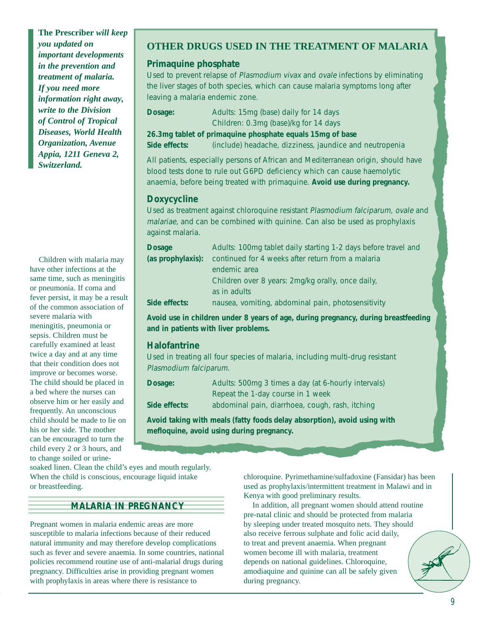**The Prescriber** *will keep you updated on important developments in the prevention and treatment of malaria. If you need more information right away, write to the Division of Control of Tropical Diseases, World Health Organization, Avenue Appia, 1211 Geneva 2, Switzerland.*

Children with malaria may have other infections at the same time, such as meningitis or pneumonia. If coma and fever persist, it may be a result of the common association of severe malaria with meningitis, pneumonia or sepsis. Children must be carefully examined at least twice a day and at any time that their condition does not improve or becomes worse. The child should be placed in a bed where the nurses can observe him or her easily and frequently. An unconscious child should be made to lie on his or her side. The mother can be encouraged to turn the child every 2 or 3 hours, and to change soiled or urine-

### **OTHER DRUGS USED IN THE TREATMENT OF MALARIA**

#### **Primaquine phosphate**

Used to prevent relapse of Plasmodium vivax and ovale infections by eliminating the liver stages of both species, which can cause malaria symptoms long after leaving a malaria endemic zone.

**Dosage:** Adults: 15mg (base) daily for 14 days Children: 0.3mg (base)/kg for 14 days **26.3mg tablet of primaquine phosphate equals 15mg of base Side effects:** (include) headache, dizziness, jaundice and neutropenia

All patients, especially persons of African and Mediterranean origin, should have blood tests done to rule out G6PD deficiency which can cause haemolytic anaemia, before being treated with primaquine. **Avoid use during pregnancy.**

#### **Doxycycline**

Used as treatment against chloroquine resistant Plasmodium falciparum, ovale and malariae, and can be combined with quinine. Can also be used as prophylaxis against malaria.

| <b>Dosage</b>     | Adults: 100mg tablet daily starting 1-2 days before travel and |
|-------------------|----------------------------------------------------------------|
| (as prophylaxis): | continued for 4 weeks after return from a malaria              |
|                   | endemic area                                                   |
|                   | Children over 8 years: 2mg/kg orally, once daily,              |
|                   | as in adults                                                   |
| Side effects:     | nausea, vomiting, abdominal pain, photosensitivity             |

**Avoid use in children under 8 years of age, during pregnancy, during breastfeeding and in patients with liver problems.**

#### **Halofantrine**

Used in treating all four species of malaria, including multi-drug resistant Plasmodium falciparum.

| Dosage:       | Adults: 500mg 3 times a day (at 6-hourly intervals) |
|---------------|-----------------------------------------------------|
|               | Repeat the 1-day course in 1 week                   |
| Side effects: | abdominal pain, diarrhoea, cough, rash, itching     |

**Avoid taking with meals (fatty foods delay absorption), avoid using with mefloquine, avoid using during pregnancy.**

soaked linen. Clean the child's eyes and mouth regularly. When the child is conscious, encourage liquid intake or breastfeeding.

#### **MALARIA IN PREGNANCY**

Pregnant women in malaria endemic areas are more susceptible to malaria infections because of their reduced natural immunity and may therefore develop complications such as fever and severe anaemia. In some countries, national policies recommend routine use of anti-malarial drugs during pregnancy. Difficulties arise in providing pregnant women with prophylaxis in areas where there is resistance to

chloroquine. Pyrimethamine/sulfadoxine (Fansidar) has been used as prophylaxis/intermittent treatment in Malawi and in Kenya with good preliminary results.

In addition, all pregnant women should attend routine pre-natal clinic and should be protected from malaria by sleeping under treated mosquito nets. They should also receive ferrous sulphate and folic acid daily, to treat and prevent anaemia. When pregnant women become ill with malaria, treatment depends on national guidelines. Chloroquine, amodiaquine and quinine can all be safely given during pregnancy.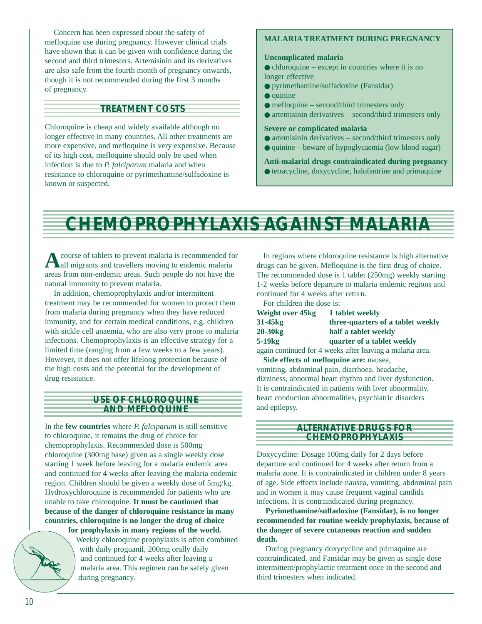Concern has been expressed about the safety of mefloquine use during pregnancy. However clinical trials have shown that it can be given with confidence during the second and third trimesters. Artemisinin and its derivatives are also safe from the fourth month of pregnancy onwards, though it is not recommended during the first 3 months of pregnancy.

#### **TREATMENT COSTS**

Chloroquine is cheap and widely available although no longer effective in many countries. All other treatments are more expensive, and mefloquine is very expensive. Because of its high cost, mefloquine should only be used when infection is due to *P. falciparum* malaria and when resistance to chloroquine or pyrimethamine/sulfadoxine is known or suspected.

#### **MALARIA TREATMENT DURING PREGNANCY**

#### **Uncomplicated malaria**

 $\bullet$  chloroquine – except in countries where it is no longer effective

- pyrimethamine/sulfadoxine (Fansidar)
- quinine
- mefloquine second/third trimesters only
- artemisinin derivatives second/third trimesters only

#### **Severe or complicated malaria**

- artemisinin derivatives second/third trimesters only
- $\bullet$  quinine beware of hypoglycaemia (low blood sugar)

#### **Anti-malarial drugs contraindicated during pregnancy**

● tetracycline, doxycycline, halofantrine and primaquine

# **CHEMOPROPHYLAXIS AGAINST MALARIA**

**A**course of tablets to prevent malaria is recommended for all migrants and travellers moving to endemic malaria areas from non-endemic areas. Such people do not have the natural immunity to prevent malaria.

In addition, chemoprophylaxis and/or intermittent treatment may be recommended for women to protect them from malaria during pregnancy when they have reduced immunity, and for certain medical conditions, e.g. children with sickle cell anaemia, who are also very prone to malaria infections. Chemoprophylaxis is an effective strategy for a limited time (ranging from a few weeks to a few years). However, it does not offer lifelong protection because of the high costs and the potential for the development of drug resistance.

#### **USE OF CHLOROQUINE AND MEFLOQUINE**

In the **few countries** where *P. falciparum* is still sensitive to chloroquine, it remains the drug of choice for chemoprophylaxis. Recommended dose is 500mg chloroquine (300mg base) given as a single weekly dose starting 1 week before leaving for a malaria endemic area and continued for 4 weeks after leaving the malaria endemic region. Children should be given a weekly dose of 5mg/kg. Hydroxychloroquine is recommended for patients who are unable to take chloroquine. **It must be cautioned that because of the danger of chloroquine resistance in many countries, chloroquine is no longer the drug of choice for prophylaxis in many regions of the world.** 



Weekly chloroquine prophylaxis is often combined with daily proguanil, 200mg orally daily and continued for 4 weeks after leaving a malaria area. This regimen can be safely given during pregnancy.

In regions where chloroquine resistance is high alternative drugs can be given. Mefloquine is the first drug of choice. The recommended dose is 1 tablet (250mg) weekly starting 1-2 weeks before departure to malaria endemic regions and continued for 4 weeks after return.

For children the dose is:

| Weight over 45kg                        | 1 tablet weekly<br>three-quarters of a tablet weekly      |  |  |
|-----------------------------------------|-----------------------------------------------------------|--|--|
| 31-45 <sub>kg</sub>                     |                                                           |  |  |
| 20-30 <sub>kg</sub>                     | half a tablet weekly                                      |  |  |
| $5-19kg$                                | quarter of a tablet weekly                                |  |  |
|                                         | again continued for 4 weeks after leaving a malaria area. |  |  |
| Side effects of mefloquine are: nausea, |                                                           |  |  |

vomiting, abdominal pain, diarrhoea, headache, dizziness, abnormal heart rhythm and liver dysfunction. It is contraindicated in patients with liver abnormality, heart conduction abnormalities, psychiatric disorders and epilepsy.

#### **ALTERNATIVE DRUGS FOR CHEMOPROPHYLAXIS**

Doxycycline: Dosage 100mg daily for 2 days before departure and continued for 4 weeks after return from a malaria zone. It is contraindicated in children under 8 years of age. Side effects include nausea, vomiting, abdominal pain and in women it may cause frequent vaginal candida infections. It is contraindicated during pregnancy.

**Pyrimethamine/sulfadoxine (Fansidar), is no longer recommended for routine weekly prophylaxis, because of the danger of severe cutaneous reaction and sudden death.**

During pregnancy doxycycline and primaquine are contraindicated, and Fansidar may be given as single dose intermittent/prophylactic treatment once in the second and third trimesters when indicated.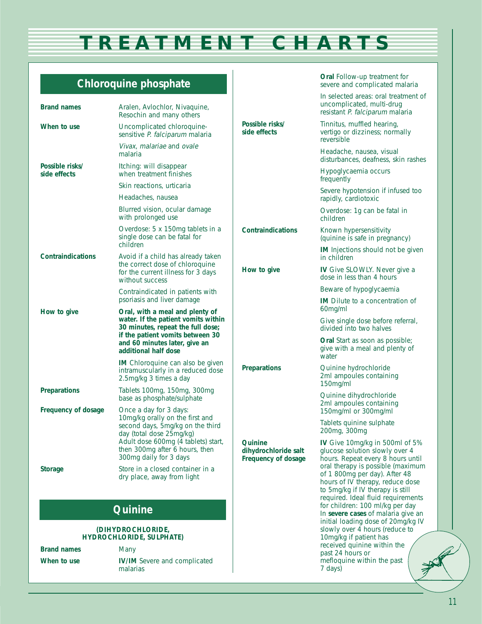# **TREATMENT CHARTS**

**Oral** Follow-up treatment for severe and complicated malaria

# **Chloroquine phosphate**

| <b>Brand names</b>              | Aralen, Avlochlor, Nivaquine,<br>Resochin and many others                                                                                                             |                                                        | In selected areas: oral treatment of<br>uncomplicated, multi-drug<br>resistant P. falciparum malaria                                                                             |
|---------------------------------|-----------------------------------------------------------------------------------------------------------------------------------------------------------------------|--------------------------------------------------------|----------------------------------------------------------------------------------------------------------------------------------------------------------------------------------|
| When to use                     | Uncomplicated chloroquine-<br>sensitive P. falciparum malaria                                                                                                         | Possible risks/<br>side effects                        | Tinnitus, muffled hearing,<br>vertigo or dizziness; normally<br>reversible                                                                                                       |
|                                 | Vivax, malariae and ovale<br>malaria                                                                                                                                  |                                                        | Headache, nausea, visual<br>disturbances, deafness, skin rashes                                                                                                                  |
| Possible risks/<br>side effects | Itching: will disappear<br>when treatment finishes                                                                                                                    |                                                        | Hypoglycaemia occurs<br>frequently                                                                                                                                               |
|                                 | Skin reactions, urticaria                                                                                                                                             |                                                        | Severe hypotension if infused too                                                                                                                                                |
|                                 | Headaches, nausea                                                                                                                                                     |                                                        | rapidly, cardiotoxic                                                                                                                                                             |
|                                 | Blurred vision, ocular damage<br>with prolonged use                                                                                                                   |                                                        | Overdose: 1g can be fatal in<br>children                                                                                                                                         |
|                                 | Overdose: 5 x 150mg tablets in a<br>single dose can be fatal for<br>children                                                                                          | <b>Contraindications</b>                               | Known hypersensitivity<br>(quinine is safe in pregnancy)                                                                                                                         |
| <b>Contraindications</b>        | Avoid if a child has already taken                                                                                                                                    |                                                        | <b>IM</b> Injections should not be given<br>in children                                                                                                                          |
|                                 | the correct dose of chloroquine<br>for the current illness for 3 days<br>without success                                                                              | How to give                                            | IV Give SLOWLY. Never give a<br>dose in less than 4 hours                                                                                                                        |
|                                 | Contraindicated in patients with                                                                                                                                      |                                                        | Beware of hypoglycaemia                                                                                                                                                          |
| How to give                     | psoriasis and liver damage<br>Oral, with a meal and plenty of                                                                                                         |                                                        | <b>IM</b> Dilute to a concentration of<br>60mg/ml                                                                                                                                |
|                                 | water. If the patient vomits within<br>30 minutes, repeat the full dose;<br>if the patient vomits between 30<br>and 60 minutes later, give an<br>additional half dose |                                                        | Give single dose before referral,<br>divided into two halves                                                                                                                     |
|                                 |                                                                                                                                                                       |                                                        | <b>Oral</b> Start as soon as possible;<br>give with a meal and plenty of<br>water                                                                                                |
|                                 | IM Chloroquine can also be given<br>intramuscularly in a reduced dose<br>2.5mg/kg 3 times a day                                                                       | <b>Preparations</b>                                    | Quinine hydrochloride<br>2ml ampoules containing<br>150mg/ml                                                                                                                     |
| <b>Preparations</b>             | Tablets 100mg, 150mg, 300mg                                                                                                                                           |                                                        | Quinine dihydrochloride                                                                                                                                                          |
| Frequency of dosage             | base as phosphate/sulphate<br>Once a day for 3 days:                                                                                                                  |                                                        | 2ml ampoules containing<br>150mg/ml or 300mg/ml                                                                                                                                  |
|                                 | 10mg/kg orally on the first and<br>second days, 5mg/kg on the third<br>day (total dose 25mg/kg)                                                                       |                                                        | Tablets quinine sulphate<br>200mg, 300mg                                                                                                                                         |
|                                 | Adult dose 600mg (4 tablets) start,<br>then 300mg after 6 hours, then<br>300mg daily for 3 days                                                                       | Quinine<br>dihydrochloride salt<br>Frequency of dosage | IV Give 10mg/kg in 500ml of 5%<br>glucose solution slowly over 4<br>hours. Repeat every 8 hours until                                                                            |
| <b>Storage</b>                  | Store in a closed container in a<br>dry place, away from light                                                                                                        |                                                        | oral therapy is possible (maximum<br>of 1 800mg per day). After 48<br>hours of IV therapy, reduce dose<br>to 5mg/kg if IV therapy is still<br>required. Ideal fluid requirements |
|                                 | <b>Quinine</b>                                                                                                                                                        |                                                        | for children: 100 ml/kg per day<br>In severe cases of malaria give an                                                                                                            |
| (DIHYDROCHLORIDE,               |                                                                                                                                                                       |                                                        | initial loading dose of 20mg/kg IV<br>slowly over 4 hours (reduce to                                                                                                             |
|                                 | <b>HYDROCHLORIDE, SULPHATE)</b>                                                                                                                                       |                                                        | 10mg/kg if patient has<br>received quinine within the                                                                                                                            |
| <b>Brand names</b>              | Many                                                                                                                                                                  |                                                        | past 24 hours or                                                                                                                                                                 |
| When to use                     | <b>IV/IM</b> Severe and complicated<br>malarias                                                                                                                       |                                                        | mefloquine within the past<br>7 days)<br>っ                                                                                                                                       |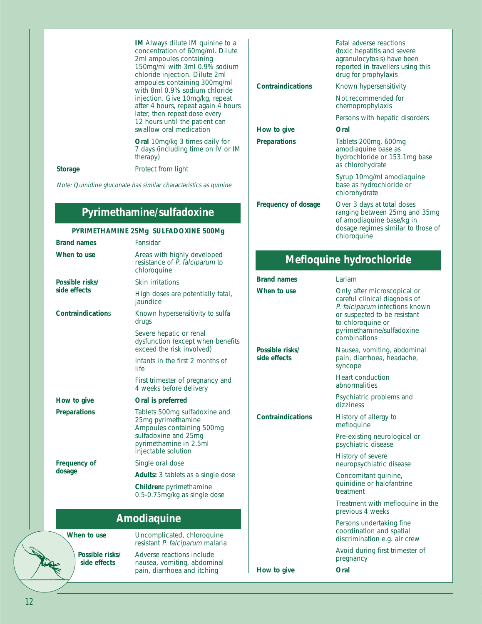|                | <b>IM</b> Always dilute IM quinine to a<br>concentration of 60mg/ml. Dilute<br>2ml ampoules containing<br>150mg/ml with 3ml 0.9% sodium<br>chloride injection. Dilute 2ml<br>ampoules containing 300mg/ml<br>with 8ml 0.9% sodium chloride<br>injection. Give 10mg/kg, repeat<br>after 4 hours, repeat again 4 hours<br>later, then repeat dose every<br>12 hours until the patient can<br>swallow oral medication | <b>Contraindications</b><br>How to give | Fatal adverse reactions<br>(toxic hepatitis and severe)<br>agranulocytosis) have been<br>reported in travellers using this<br>drug for prophylaxis<br>Known hypersensitivity<br>Not recommended for<br>chemoprophylaxis<br>Persons with hepatic disorders<br>Oral |
|----------------|--------------------------------------------------------------------------------------------------------------------------------------------------------------------------------------------------------------------------------------------------------------------------------------------------------------------------------------------------------------------------------------------------------------------|-----------------------------------------|-------------------------------------------------------------------------------------------------------------------------------------------------------------------------------------------------------------------------------------------------------------------|
|                | <b>Oral</b> 10mg/kg 3 times daily for<br>7 days (including time on IV or IM<br>therapy)                                                                                                                                                                                                                                                                                                                            | <b>Preparations</b>                     | Tablets 200mg, 600mg<br>amodiaquine base as<br>hydrochloride or 153.1mg base                                                                                                                                                                                      |
| <b>Storage</b> | Protect from light<br>Note: Quinidine gluconate has similar characteristics as quinine                                                                                                                                                                                                                                                                                                                             |                                         | as chlorohydrate<br>Syrup 10mg/ml amodiaquine<br>base as hydrochloride or                                                                                                                                                                                         |

# **Pyrimethamine/sulfadoxine**

### **PYRIMETHAMINE 25Mg SULFADOXINE 500Mg**

| <b>Brand names</b>       | Fansidar                                                                                                                                                  |  |  |
|--------------------------|-----------------------------------------------------------------------------------------------------------------------------------------------------------|--|--|
| When to use              | Areas with highly developed<br>resistance of P. falciparum to<br>chloroquine                                                                              |  |  |
| Possible risks/          | Skin irritations                                                                                                                                          |  |  |
| side effects             | High doses are potentially fatal,<br>jaundice                                                                                                             |  |  |
| <b>Contraindications</b> | Known hypersensitivity to sulfa<br>drugs                                                                                                                  |  |  |
|                          | Severe hepatic or renal<br>dysfunction (except when benefits<br>exceed the risk involved)                                                                 |  |  |
|                          | Infants in the first 2 months of<br>life                                                                                                                  |  |  |
|                          | First trimester of pregnancy and<br>4 weeks before delivery                                                                                               |  |  |
| How to give              | Oral is preferred                                                                                                                                         |  |  |
| <b>Preparations</b>      | Tablets 500mg sulfadoxine and<br>25mg pyrimethamine<br>Ampoules containing 500mg<br>sulfadoxine and 25mg<br>pyrimethamine in 2.5ml<br>injectable solution |  |  |
| <b>Frequency of</b>      | Single oral dose                                                                                                                                          |  |  |
| dosage                   | Adults: 3 tablets as a single dose                                                                                                                        |  |  |
|                          | Children: pyrimethamine<br>0.5-0.75mg/kg as single dose                                                                                                   |  |  |
| Amodiaquine              |                                                                                                                                                           |  |  |
| When to use              | Uncomplicated, chloroquine<br>resistant P. falciparum malaria                                                                                             |  |  |
| Possible risks/          | Adverse reactions include                                                                                                                                 |  |  |

**side effects** nausea, vomiting, abdominal

pain, diarrhoea and itching

| <b>Contraindications</b>   | Known hypersensitivity                                                                                                                        |  |  |
|----------------------------|-----------------------------------------------------------------------------------------------------------------------------------------------|--|--|
|                            | Not recommended for<br>chemoprophylaxis                                                                                                       |  |  |
|                            | Persons with hepatic disorders                                                                                                                |  |  |
| How to give                | Oral                                                                                                                                          |  |  |
| <b>Preparations</b>        | Tablets 200mg, 600mg<br>amodiaquine base as<br>hydrochloride or 153.1mg base<br>as chlorohydrate                                              |  |  |
|                            | Syrup 10mg/ml amodiaguine<br>base as hydrochloride or<br>chlorohydrate                                                                        |  |  |
| <b>Frequency of dosage</b> | Over 3 days at total doses<br>ranging between 25mg and 35mg<br>of amodiaquine base/kg in<br>dosage regimes similar to those of<br>chloroquine |  |  |
| Mefloquine hydrochloride   |                                                                                                                                               |  |  |

| <b>Brand names</b>              | Lariam                                                                                                                                                                                           |
|---------------------------------|--------------------------------------------------------------------------------------------------------------------------------------------------------------------------------------------------|
| When to use                     | Only after microscopical or<br>careful clinical diagnosis of<br>P. falciparum infections known<br>or suspected to be resistant<br>to chloroquine or<br>pyrimethamine/sulfadoxine<br>combinations |
| Possible risks/<br>side effects | Nausea, vomiting, abdominal<br>pain, diarrhoea, headache,<br>syncope                                                                                                                             |
|                                 | <b>Heart conduction</b><br>abnormalities                                                                                                                                                         |
|                                 | Psychiatric problems and<br>dizziness                                                                                                                                                            |
| <b>Contraindications</b>        | History of allergy to<br>mefloquine                                                                                                                                                              |
|                                 | Pre-existing neurological or<br>psychiatric disease                                                                                                                                              |
|                                 | History of severe<br>neuropsychiatric disease                                                                                                                                                    |
|                                 | Concomitant quinine,<br>quinidine or halofantrine<br>treatment                                                                                                                                   |
|                                 | Treatment with mefloquine in the<br>previous 4 weeks                                                                                                                                             |
|                                 | Persons undertaking fine<br>coordination and spatial<br>discrimination e.g. air crew                                                                                                             |
|                                 | Avoid during first trimester of<br>pregnancy                                                                                                                                                     |
| How to give                     | Oral                                                                                                                                                                                             |
|                                 |                                                                                                                                                                                                  |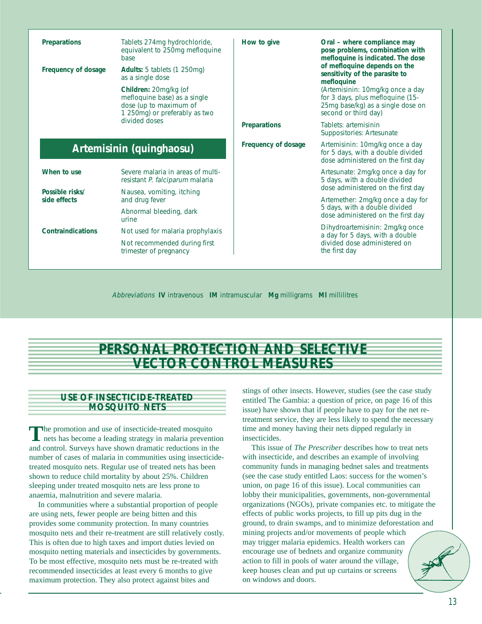| <b>Preparations</b>                  | Tablets 274mg hydrochloride,<br>equivalent to 250mg mefloquine<br><b>base</b>                                    | How to give         | Oral – where compliance may<br>pose problems, combination with<br>mefloquine is indicated. The dose<br>of mefloquine depends on the<br>sensitivity of the parasite to<br>mefloquine |
|--------------------------------------|------------------------------------------------------------------------------------------------------------------|---------------------|-------------------------------------------------------------------------------------------------------------------------------------------------------------------------------------|
| Frequency of dosage<br>divided doses | <b>Adults:</b> 5 tablets (1 250mg)<br>as a single dose                                                           |                     |                                                                                                                                                                                     |
|                                      | Children: 20mg/kg (of<br>mefloquine base) as a single<br>dose (up to maximum of<br>1 250mg) or preferably as two |                     | (Artemisinin: 10mg/kg once a day<br>for 3 days, plus mefloquine (15-<br>25mg base/kg) as a single dose on<br>second or third day)                                                   |
|                                      |                                                                                                                  | <b>Preparations</b> | Tablets: artemisinin<br>Suppositories: Artesunate                                                                                                                                   |
|                                      | Artemisinin (quinghaosu)                                                                                         | Frequency of dosage | Artemisinin: 10mg/kg once a day<br>for 5 days, with a double divided<br>dose administered on the first day                                                                          |
| When to use                          | Severe malaria in areas of multi-<br>resistant P. falciparum malaria                                             |                     | Artesunate: 2mg/kg once a day for<br>5 days, with a double divided                                                                                                                  |
| Possible risks/                      | Nausea, vomiting, itching                                                                                        |                     | dose administered on the first day                                                                                                                                                  |
| side effects                         | and drug fever                                                                                                   |                     | Artemether: 2mg/kg once a day for<br>5 days, with a double divided                                                                                                                  |
|                                      | Abnormal bleeding, dark<br>urine                                                                                 |                     | dose administered on the first day                                                                                                                                                  |
| <b>Contraindications</b>             | Not used for malaria prophylaxis                                                                                 |                     | Dihydroartemisinin: 2mg/kg once<br>a day for 5 days, with a double                                                                                                                  |
|                                      | Not recommended during first<br>trimester of pregnancy                                                           |                     | divided dose administered on<br>the first day                                                                                                                                       |

Abbreviations **IV** intravenous **IM** intramuscular **Mg** milligrams **Ml** millilitres

# **PERSONAL PROTECTION AND SELECTIVE VECTOR CONTROL MEASURES**

#### **USE OF INSECTICIDE-TREATED MOSQUITO NETS**

The promotion and use of insecticide-treated mosquito<br>nets has become a leading strategy in malaria prevention and control. Surveys have shown dramatic reductions in the number of cases of malaria in communities using insecticidetreated mosquito nets. Regular use of treated nets has been shown to reduce child mortality by about 25%. Children sleeping under treated mosquito nets are less prone to anaemia, malnutrition and severe malaria.

In communities where a substantial proportion of people are using nets, fewer people are being bitten and this provides some community protection. In many countries mosquito nets and their re-treatment are still relatively costly. This is often due to high taxes and import duties levied on mosquito netting materials and insecticides by governments. To be most effective, mosquito nets must be re-treated with recommended insecticides at least every 6 months to give maximum protection. They also protect against bites and

stings of other insects. However, studies (see the case study entitled The Gambia: a question of price, on page 16 of this issue) have shown that if people have to pay for the net retreatment service, they are less likely to spend the necessary time and money having their nets dipped regularly in insecticides.

This issue of *The Prescriber* describes how to treat nets with insecticide, and describes an example of involving community funds in managing bednet sales and treatments (see the case study entitled Laos: success for the women's union, on page 16 of this issue). Local communities can lobby their municipalities, governments, non-governmental organizations (NGOs), private companies etc. to mitigate the effects of public works projects, to fill up pits dug in the ground, to drain swamps, and to minimize deforestation and mining projects and/or movements of people which may trigger malaria epidemics. Health workers can encourage use of bednets and organize community action to fill in pools of water around the village, keep houses clean and put up curtains or screens on windows and doors.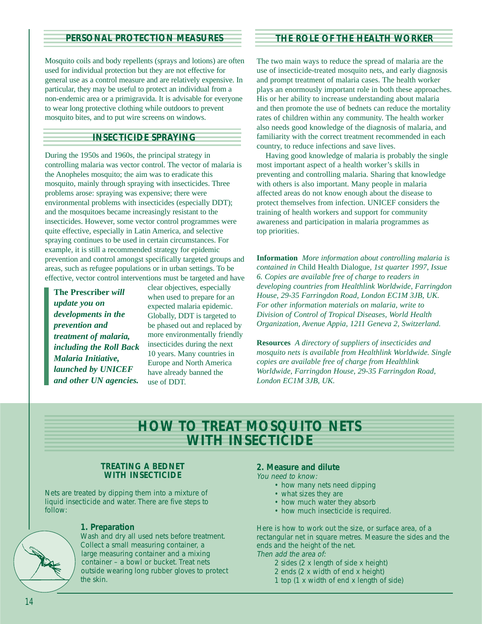#### **PERSONAL PROTECTION MEASURES**

Mosquito coils and body repellents (sprays and lotions) are often used for individual protection but they are not effective for general use as a control measure and are relatively expensive. In particular, they may be useful to protect an individual from a non-endemic area or a primigravida. It is advisable for everyone to wear long protective clothing while outdoors to prevent mosquito bites, and to put wire screens on windows.

### **INSECTICIDE SPRAYING**

During the 1950s and 1960s, the principal strategy in controlling malaria was vector control. The vector of malaria is the Anopheles mosquito; the aim was to eradicate this mosquito, mainly through spraying with insecticides. Three problems arose: spraying was expensive; there were environmental problems with insecticides (especially DDT); and the mosquitoes became increasingly resistant to the insecticides. However, some vector control programmes were quite effective, especially in Latin America, and selective spraying continues to be used in certain circumstances. For example, it is still a recommended strategy for epidemic prevention and control amongst specifically targeted groups and areas, such as refugee populations or in urban settings. To be effective, vector control interventions must be targeted and have

**The Prescriber** *will update you on developments in the prevention and treatment of malaria, including the Roll Back Malaria Initiative, launched by UNICEF and other UN agencies.*

clear objectives, especially when used to prepare for an expected malaria epidemic. Globally, DDT is targeted to be phased out and replaced by more environmentally friendly insecticides during the next 10 years. Many countries in Europe and North America have already banned the use of DDT.

#### **THE ROLE OF THE HEALTH WORKER**

The two main ways to reduce the spread of malaria are the use of insecticide-treated mosquito nets, and early diagnosis and prompt treatment of malaria cases. The health worker plays an enormously important role in both these approaches. His or her ability to increase understanding about malaria and then promote the use of bednets can reduce the mortality rates of children within any community. The health worker also needs good knowledge of the diagnosis of malaria, and familiarity with the correct treatment recommended in each country, to reduce infections and save lives.

Having good knowledge of malaria is probably the single most important aspect of a health worker's skills in preventing and controlling malaria. Sharing that knowledge with others is also important. Many people in malaria affected areas do not know enough about the disease to protect themselves from infection. UNICEF considers the training of health workers and support for community awareness and participation in malaria programmes as top priorities.

**Information** *More information about controlling malaria is contained in* Child Health Dialogue*, 1st quarter 1997, Issue 6. Copies are available free of charge to readers in developing countries from Healthlink Worldwide, Farringdon House, 29-35 Farringdon Road, London EC1M 3JB, UK. For other information materials on malaria, write to Division of Control of Tropical Diseases, World Health Organization, Avenue Appia, 1211 Geneva 2, Switzerland.*

**Resources** *A directory of suppliers of insecticides and mosquito nets is available from Healthlink Worldwide. Single copies are available free of charge from Healthlink Worldwide, Farringdon House, 29-35 Farringdon Road, London EC1M 3JB, UK.*

# **HOW TO TREAT MOSQUITO NETS WITH INSECTICIDE**

#### **TREATING A BEDNET WITH INSECTICIDE**

Nets are treated by dipping them into a mixture of liquid insecticide and water. There are five steps to follow:



#### **1. Preparation**

Wash and dry all used nets before treatment. Collect a small measuring container, a large measuring container and a mixing container – a bowl or bucket. Treat nets outside wearing long rubber gloves to protect the skin.

#### **2. Measure and dilute**

You need to know:

- how many nets need dipping
- what sizes they are
- how much water they absorb
- how much insecticide is required.

Here is how to work out the size, or surface area, of a rectangular net in square metres. Measure the sides and the ends and the height of the net. Then add the area of:

- 2 sides (2 x length of side x height)
- 2 ends (2 x width of end x height)
- 1 top (1 x width of end x length of side)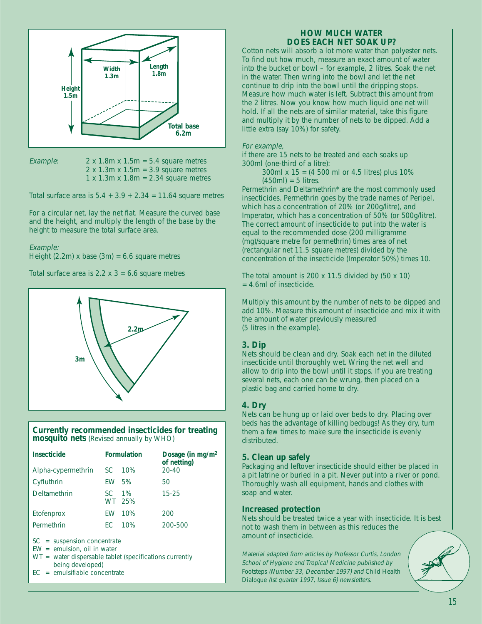

Example:  $2 \times 1.8$ m  $\times 1.5$ m = 5.4 square metres  $2 \times 1.3$ m  $\times 1.5$ m = 3.9 square metres  $1 \times 1.3$ m  $\times 1.8$ m = 2.34 square metres

Total surface area is  $5.4 + 3.9 + 2.34 = 11.64$  square metres

For a circular net, lay the net flat. Measure the curved base and the height, and multiply the length of the base by the height to measure the total surface area.

#### Example:

Height (2.2m) x base (3m) =  $6.6$  square metres

Total surface area is  $2.2 \times 3 = 6.6$  square metres



#### **Currently recommended insecticides for treating mosquito nets** (Revised annually by WHO)

| <b>Insecticide</b> |     | <b>Formulation</b> | Dosage (in $mg/m^2$<br>of netting) |
|--------------------|-----|--------------------|------------------------------------|
| Alpha-cypermethrin | SC. | <b>10%</b>         | $20 - 40$                          |
| Cyfluthrin         | FW  | .5%                | 50                                 |
| Deltamethrin       | SC. | $1\%$<br>WT 25%    | $15 - 25$                          |
| Etofenprox         | FW  | 10%                | 200                                |
| Permethrin         | FC. | 10%                | 200-500                            |

SC = suspension concentrate

- EW = emulsion, oil in water
- WT = water dispersable tablet (specifications currently being developed)
- EC = emulsifiable concentrate

#### **HOW MUCH WATER DOES EACH NET SOAK UP?**

Cotton nets will absorb a lot more water than polyester nets. To find out how much, measure an exact amount of water into the bucket or bowl – for example, 2 litres. Soak the net in the water. Then wring into the bowl and let the net continue to drip into the bowl until the dripping stops. Measure how much water is left. Subtract this amount from the 2 litres. Now you know how much liquid one net will hold. If all the nets are of similar material, take this figure and multiply it by the number of nets to be dipped. Add a little extra (say 10%) for safety.

#### For example,

if there are 15 nets to be treated and each soaks up 300ml (one-third of a litre):

> 300ml x 15 = (4 500 ml or 4.5 litres) plus 10%  $(450ml) = 5$  litres.

Permethrin and Deltamethrin\* are the most commonly used insecticides. Permethrin goes by the trade names of Peripel, which has a concentration of 20% (or 200g/litre), and Imperator, which has a concentration of 50% (or 500g/litre). The correct amount of insecticide to put into the water is equal to the recommended dose (200 milligramme (mg)/square metre for permethrin) times area of net (rectangular net 11.5 square metres) divided by the concentration of the insecticide (Imperator 50%) times 10.

The total amount is 200  $\times$  11.5 divided by (50  $\times$  10) = 4.6ml of insecticide.

Multiply this amount by the number of nets to be dipped and add 10%. Measure this amount of insecticide and mix it with the amount of water previously measured (5 litres in the example).

#### **3. Dip**

Nets should be clean and dry. Soak each net in the diluted insecticide until thoroughly wet. Wring the net well and allow to drip into the bowl until it stops. If you are treating several nets, each one can be wrung, then placed on a plastic bag and carried home to dry.

#### **4. Dry**

Nets can be hung up or laid over beds to dry. Placing over beds has the advantage of killing bedbugs! As they dry, turn them a few times to make sure the insecticide is evenly distributed.

#### **5. Clean up safely**

Packaging and leftover insecticide should either be placed in a pit latrine or buried in a pit. Never put into a river or pond. Thoroughly wash all equipment, hands and clothes with soap and water.

#### **Increased protection**

Nets should be treated twice a year with insecticide. It is best not to wash them in between as this reduces the amount of insecticide.

Material adapted from articles by Professor Curtis, London School of Hygiene and Tropical Medicine published by Footsteps (Number 33, December 1997) and Child Health Dialogue (Ist quarter 1997, Issue 6) newsletters.